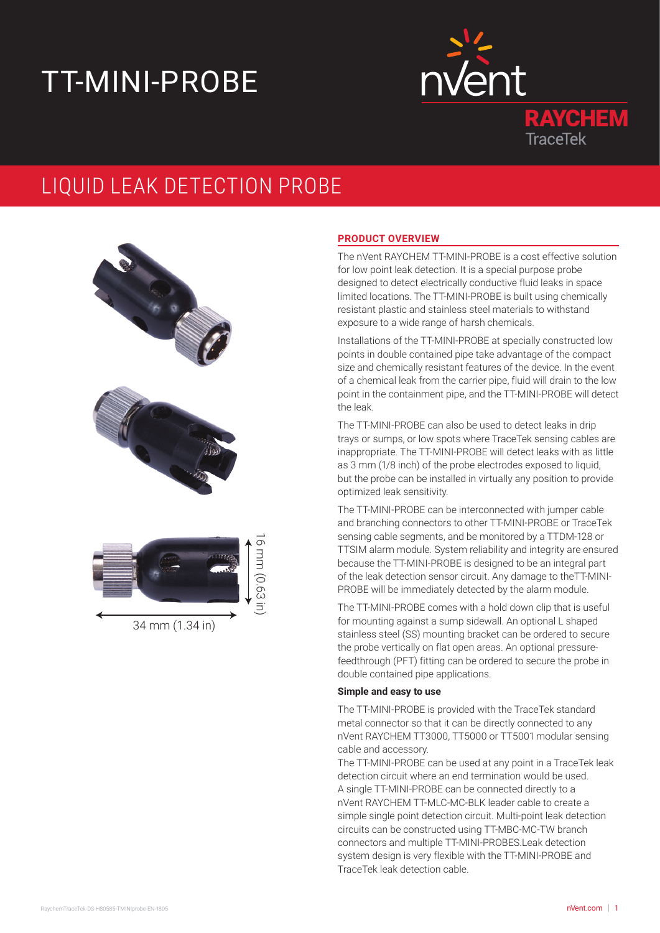# TT-MINI-PROBE



# LIQUID LEAK DETECTION PROBE



34 mm (1.34 in)

# **PRODUCT OVERVIEW**

The nVent RAYCHEM TT-MINI-PROBE is a cost effective solution for low point leak detection. It is a special purpose probe designed to detect electrically conductive fluid leaks in space limited locations. The TT-MINI-PROBE is built using chemically resistant plastic and stainless steel materials to withstand exposure to a wide range of harsh chemicals.

Installations of the TT-MINI-PROBE at specially constructed low points in double contained pipe take advantage of the compact size and chemically resistant features of the device. In the event of a chemical leak from the carrier pipe, fluid will drain to the low point in the containment pipe, and the TT-MINI-PROBE will detect the leak.

The TT-MINI-PROBE can also be used to detect leaks in drip trays or sumps, or low spots where TraceTek sensing cables are inappropriate. The TT-MINI-PROBE will detect leaks with as little as 3 mm (1/8 inch) of the probe electrodes exposed to liquid, but the probe can be installed in virtually any position to provide optimized leak sensitivity.

The TT-MINI-PROBE can be interconnected with jumper cable and branching connectors to other TT-MINI-PROBE or TraceTek sensing cable segments, and be monitored by a TTDM-128 or TTSIM alarm module. System reliability and integrity are ensured because the TT-MINI-PROBE is designed to be an integral part of the leak detection sensor circuit. Any damage to theTT-MINI-PROBE will be immediately detected by the alarm module.

The TT-MINI-PROBE comes with a hold down clip that is useful for mounting against a sump sidewall. An optional L shaped stainless steel (SS) mounting bracket can be ordered to secure the probe vertically on flat open areas. An optional pressurefeedthrough (PFT) fitting can be ordered to secure the probe in double contained pipe applications.

#### **Simple and easy to use**

The TT-MINI-PROBE is provided with the TraceTek standard metal connector so that it can be directly connected to any nVent RAYCHEM TT3000, TT5000 or TT5001 modular sensing cable and accessory.

The TT-MINI-PROBE can be used at any point in a TraceTek leak detection circuit where an end termination would be used. A single TT-MINI-PROBE can be connected directly to a nVent RAYCHEM TT-MLC-MC-BLK leader cable to create a simple single point detection circuit. Multi-point leak detection circuits can be constructed using TT-MBC-MC-TW branch connectors and multiple TT-MINI-PROBES.Leak detection system design is very flexible with the TT-MINI-PROBE and TraceTek leak detection cable. ent RA<br>nple si<br>cuits c<br>nnectc<br>stem d<br>aceTek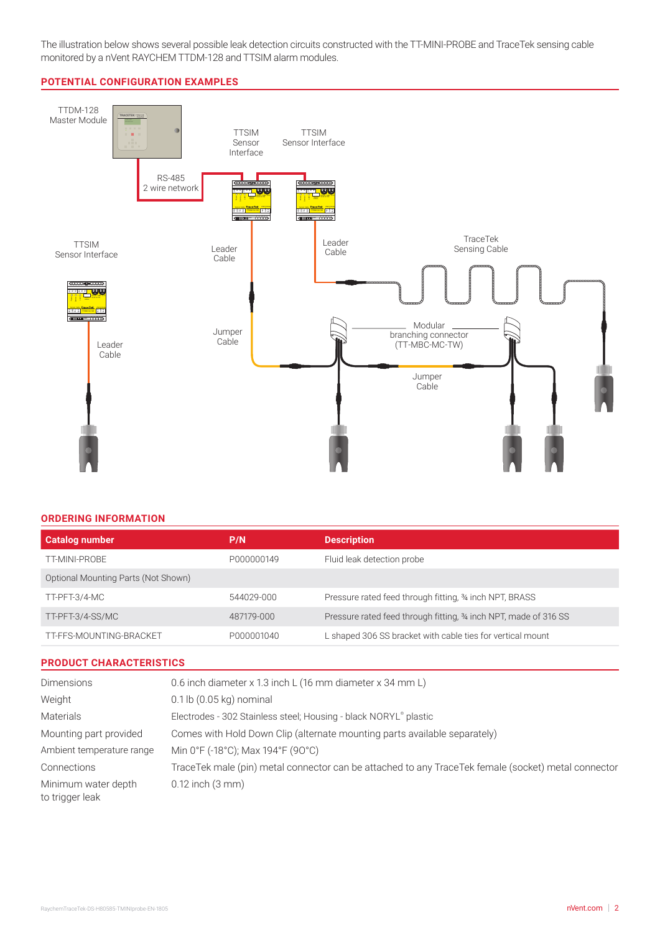The illustration below shows several possible leak detection circuits constructed with the TT-MINI-PROBE and TraceTek sensing cable monitored by a nVent RAYCHEM TTDM-128 and TTSIM alarm modules.

#### **POTENTIAL CONFIGURATION EXAMPLES**



#### **ORDERING INFORMATION**

| <b>Catalog number</b>               | P/N        | <b>Description</b>                                               |
|-------------------------------------|------------|------------------------------------------------------------------|
| TT-MINI-PROBE                       | P000000149 | Fluid leak detection probe                                       |
| Optional Mounting Parts (Not Shown) |            |                                                                  |
| TT-PFT-3/4-MC                       | 544029-000 | Pressure rated feed through fitting, 34 inch NPT, BRASS          |
| TT-PFT-3/4-SS/MC                    | 487179-000 | Pressure rated feed through fitting, 34 inch NPT, made of 316 SS |
| TT-FFS-MOUNTING-BRACKET             | P000001040 | L shaped 306 SS bracket with cable ties for vertical mount       |

#### **PRODUCT CHARACTERISTICS**

| <b>Dimensions</b>                      | 0.6 inch diameter x 1.3 inch L (16 mm diameter x 34 mm L)                                           |
|----------------------------------------|-----------------------------------------------------------------------------------------------------|
| Weight                                 | $0.1$ lb $(0.05$ kg) nominal                                                                        |
| <b>Materials</b>                       | Electrodes - 302 Stainless steel; Housing - black NORYL® plastic                                    |
| Mounting part provided                 | Comes with Hold Down Clip (alternate mounting parts available separately)                           |
| Ambient temperature range              | Min 0°F (-18°C); Max 194°F (90°C)                                                                   |
| Connections                            | TraceTek male (pin) metal connector can be attached to any TraceTek female (socket) metal connector |
| Minimum water depth<br>to trigger leak | $0.12$ inch $(3 \text{ mm})$                                                                        |